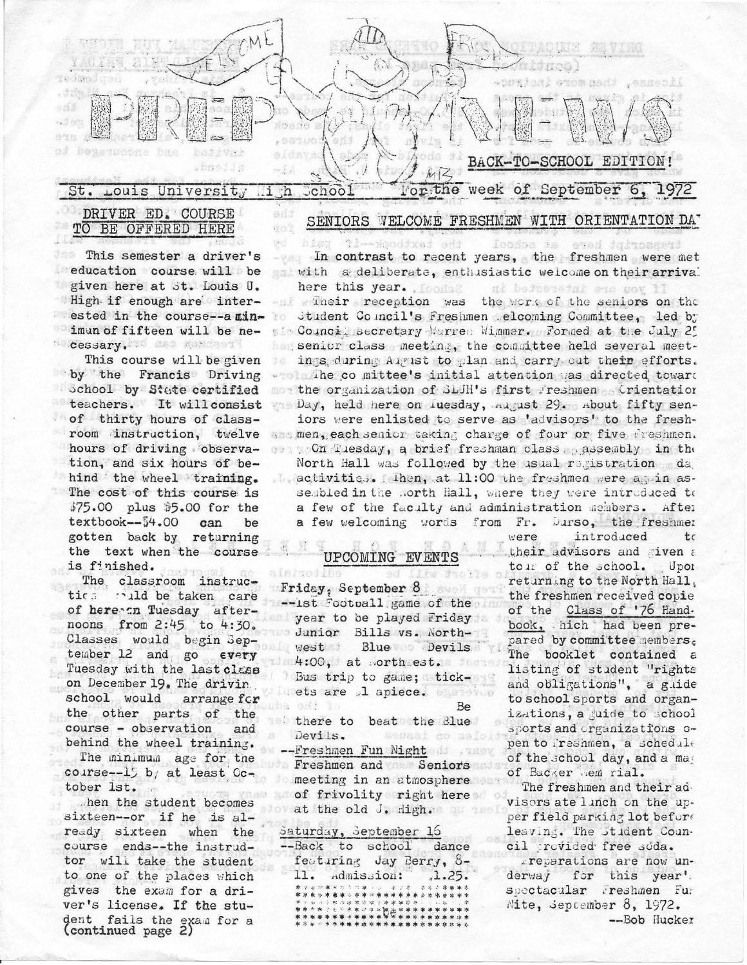

the textpock-eff

to)  $\mathbb{R}^d$ 

h in

alargoiibe

## SENIORS VELCOME FRESHMEN WITH ORIENTATION DAT

## DRIVER ED. COURSE TO BE OFFERED HERE

This semester a driver's education course will be given here at St. Louis U. High if enough are interested in the course--a minimun of fifteen will be ne-**Cessary. Is new cessary** 

This course will be given by the Francis Driving School by State certified teachers. It will consist of thirty hours of classroom instruction, twelve hours of driving observation, and six hours of behind the wheel training. The cost of this course is \$75.00 plus \$5.00 for the textbook--\$4.00 can be gotten back by returning the text when the course is finished.

The classroom instrucald be taken care tics. of here an Tuesday afternoons from 2:45 to 4:30. Classes would begin September 12 and go **EVETY** Tuesday with the last class on December 19. The drivin school would arrange fcr the other parts of the course - observation and behind the wheel training. The minimum age for the course--15 b/ at least  $0c$ tober 1st.

then the student becomes sixteen--or if he is already sixteen when the course ends--the instrudtor will take the student to one of the places which gives the exam for a driver's license. If the student fails the exam for a<br>(continued page 2)

In contrast to recent years, the freshmen were met with a deliberate, enthusiastic welcome on their arrival here this year. Inches ni berostetal ena gov 11

Ioosoa js

sted dufnoament

- Their reception was the work of the seniors on the Student Council's Freshmen Melcoming Committee, led by  $T \in \mathbb{R}$ pin Council secretary Marren Mimmer. Formed at the July 25 but senior class meeting, the committee held several meet-力点 ings during Aigust to plan and carry out their efforts. who The co mittee's initial attention was directed toward mow the organization of SLUH's first Freshmen Crientation Day, held here on Iuesday, angust 29. about fifty seniors were enlisted to serve as 'advisors' to the fresha men, each senior taking charge of four or five freshmen. on Tuesday, a brief freshman class assembly in the North Hall was followed by the usual registration da lactivities. Then, at 11:00 the freshmen were again assembled in the North Hall, where they were introduced to a few of the faculty and administration members. After a few welcoming words from Fr. Durso, the freshmen

## UPCOMING EVENTS

Like Sto Friday, September 8 -ist Football game of the year to be played Friday Junior Bills vs. Northwest Blue Devils 4:00, at worth est. Bus trip to game; tickets are "1 apiece. Be 自动 there to beat the Blue Devils. cosasi do as -Freshmen Fun Night

Freshmen and Seniors meeting in an atmosphere. of frivolity right here at the old J. High.

### Saturday, September 16

--Back to school dance featuring Jay Berry, 8-11. Admission:  $.1.25.$ \*\*\*\* **DE \*\*\*\*** 

were introduced tς their advisors and given a tour of the school. Upor returning to the North Hall, the freshmen received copie of the Class of '76 Hand. book, hich had been prepared by committee nembers. The booklet contained a listing of student "rights and obligations", a guide to school sports and organizations, a guide to school sports and organizations open to reshmen, a schedule of the school day, and a may of Backer Aem rial.

The freshmen and their advisors ate linch on the upper field parking lot before leaving. The stident Council provided free soda.

reparations are now underway for this year'. spectacular Freshmen Fur Nite, September  $8$ , 1972. --Bob Hucker